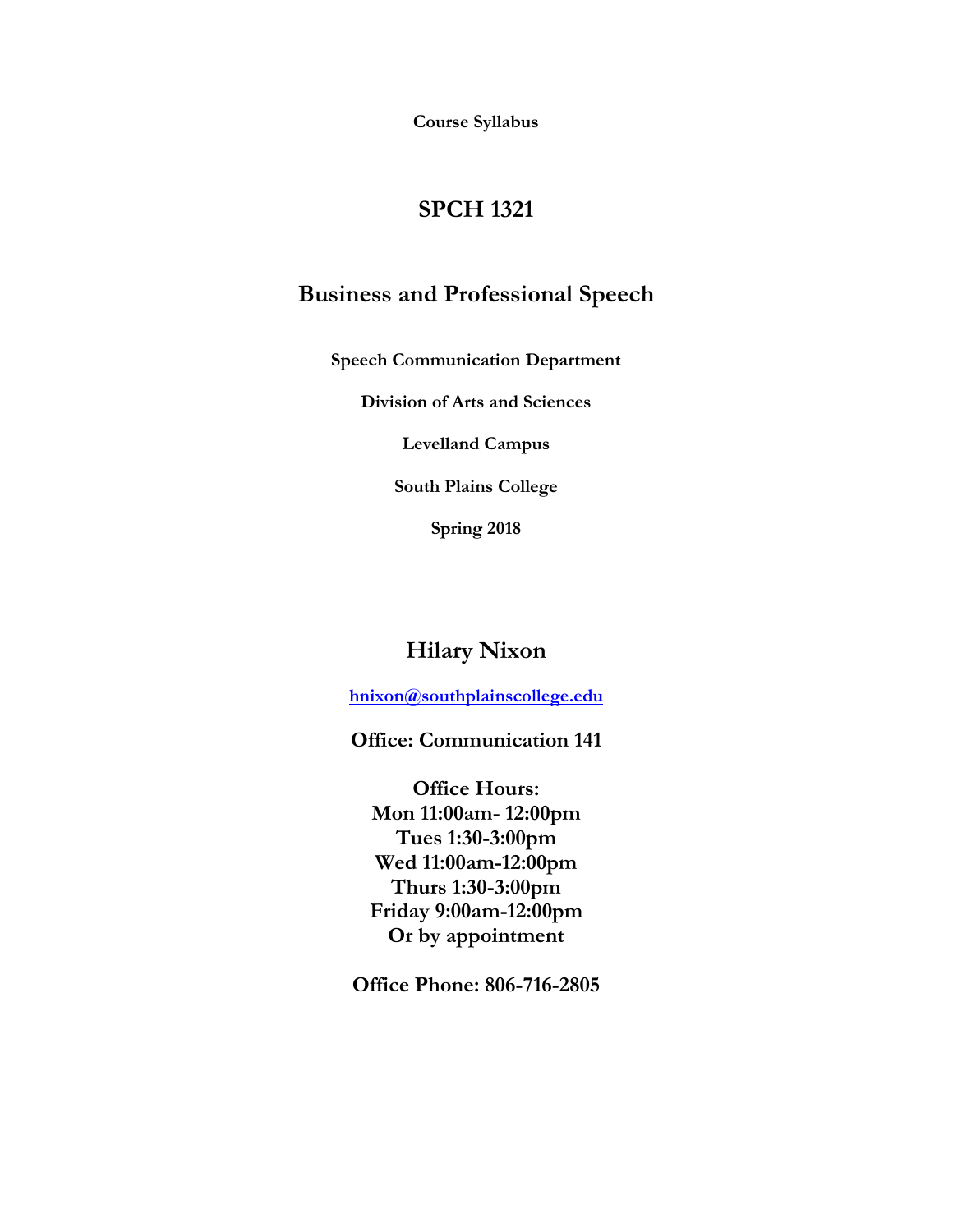**Course Syllabus**

# **SPCH 1321**

# **Business and Professional Speech**

**Speech Communication Department**

**Division of Arts and Sciences**

**Levelland Campus**

**South Plains College**

**Spring 2018**

# **Hilary Nixon**

**[hnixon@southplainscollege.edu](mailto:hnixon@southplainscollege.edu)**

**Office: Communication 141**

**Office Hours: Mon 11:00am- 12:00pm Tues 1:30-3:00pm Wed 11:00am-12:00pm Thurs 1:30-3:00pm Friday 9:00am-12:00pm Or by appointment** 

**Office Phone: 806-716-2805**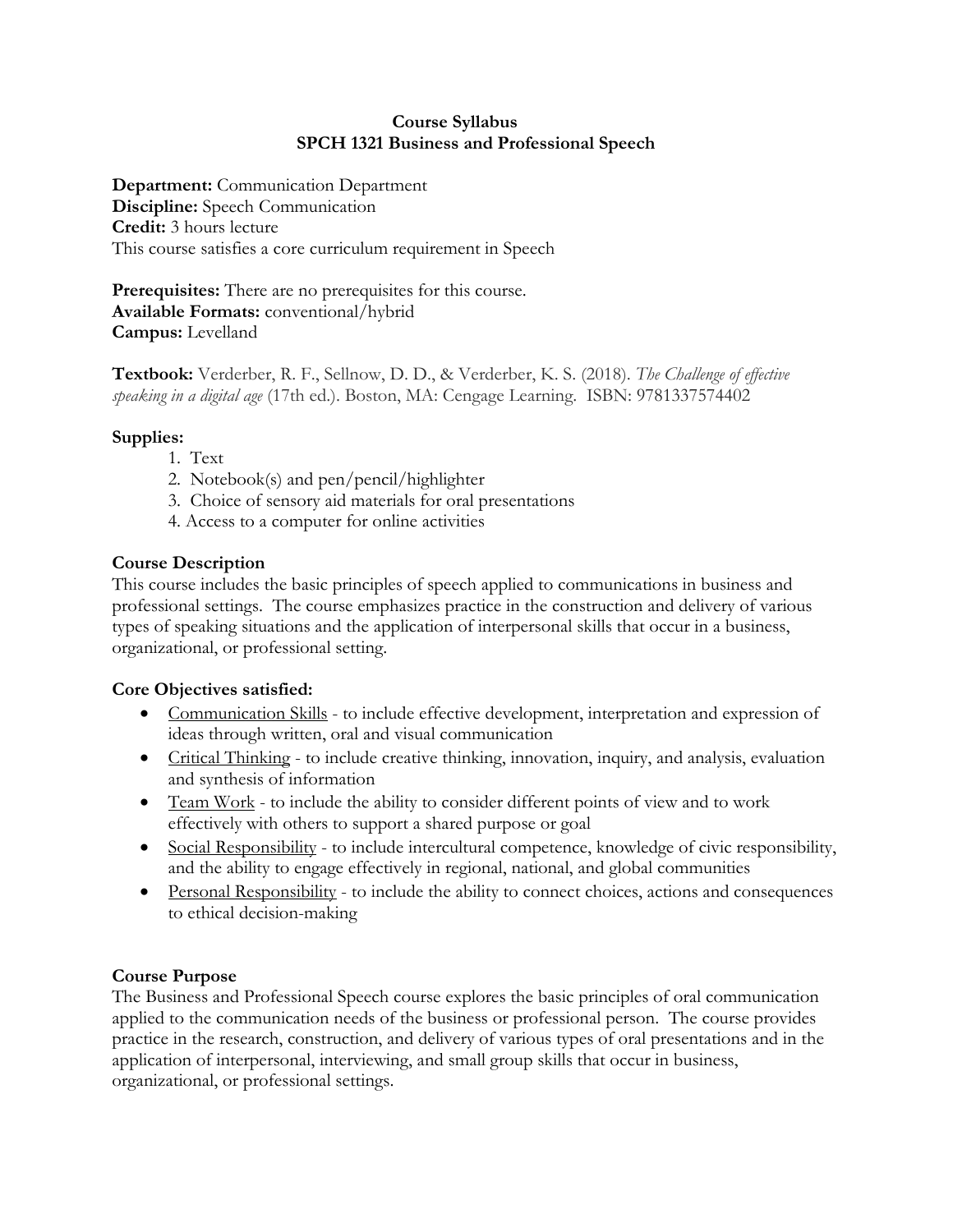## **Course Syllabus SPCH 1321 Business and Professional Speech**

**Department:** Communication Department **Discipline:** Speech Communication **Credit:** 3 hours lecture This course satisfies a core curriculum requirement in Speech

**Prerequisites:** There are no prerequisites for this course. **Available Formats:** conventional/hybrid **Campus:** Levelland

**Textbook:** Verderber, R. F., Sellnow, D. D., & Verderber, K. S. (2018). *The Challenge of effective speaking in a digital age* (17th ed.). Boston, MA: Cengage Learning. ISBN: 9781337574402

## **Supplies:**

- 1. Text
- 2. Notebook(s) and pen/pencil/highlighter
- 3. Choice of sensory aid materials for oral presentations
- 4. Access to a computer for online activities

# **Course Description**

This course includes the basic principles of speech applied to communications in business and professional settings. The course emphasizes practice in the construction and delivery of various types of speaking situations and the application of interpersonal skills that occur in a business, organizational, or professional setting.

# **Core Objectives satisfied:**

- Communication Skills to include effective development, interpretation and expression of ideas through written, oral and visual communication
- Critical Thinking to include creative thinking, innovation, inquiry, and analysis, evaluation and synthesis of information
- Team Work to include the ability to consider different points of view and to work effectively with others to support a shared purpose or goal
- Social Responsibility to include intercultural competence, knowledge of civic responsibility, and the ability to engage effectively in regional, national, and global communities
- Personal Responsibility to include the ability to connect choices, actions and consequences to ethical decision-making

# **Course Purpose**

The Business and Professional Speech course explores the basic principles of oral communication applied to the communication needs of the business or professional person. The course provides practice in the research, construction, and delivery of various types of oral presentations and in the application of interpersonal, interviewing, and small group skills that occur in business, organizational, or professional settings.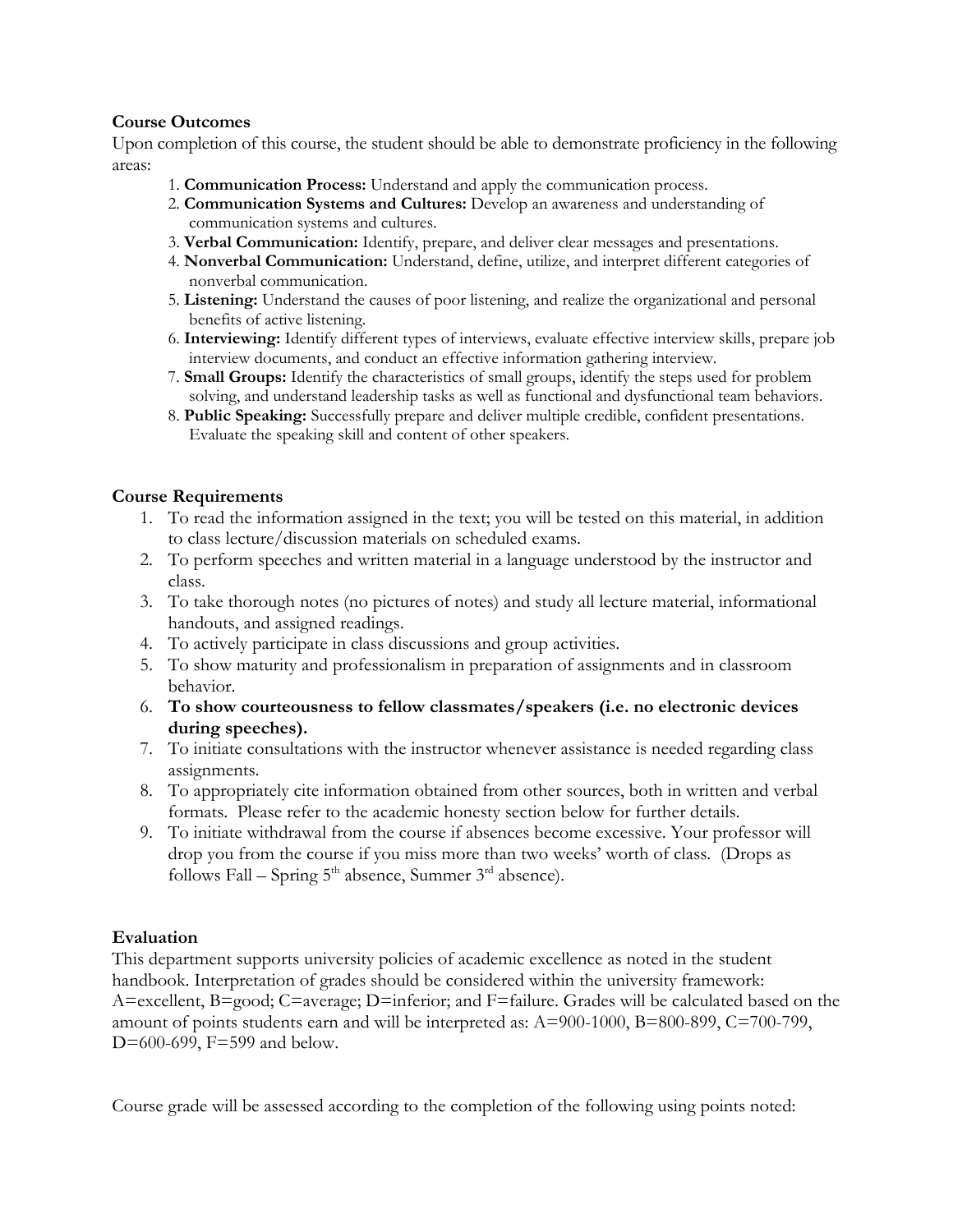## **Course Outcomes**

Upon completion of this course, the student should be able to demonstrate proficiency in the following areas:

- 1. **Communication Process:** Understand and apply the communication process.
- 2. **Communication Systems and Cultures:** Develop an awareness and understanding of communication systems and cultures.
- 3. **Verbal Communication:** Identify, prepare, and deliver clear messages and presentations.
- 4. **Nonverbal Communication:** Understand, define, utilize, and interpret different categories of nonverbal communication.
- 5. **Listening:** Understand the causes of poor listening, and realize the organizational and personal benefits of active listening.
- 6. **Interviewing:** Identify different types of interviews, evaluate effective interview skills, prepare job interview documents, and conduct an effective information gathering interview.
- 7. **Small Groups:** Identify the characteristics of small groups, identify the steps used for problem solving, and understand leadership tasks as well as functional and dysfunctional team behaviors.
- 8. **Public Speaking:** Successfully prepare and deliver multiple credible, confident presentations. Evaluate the speaking skill and content of other speakers.

## **Course Requirements**

- 1. To read the information assigned in the text; you will be tested on this material, in addition to class lecture/discussion materials on scheduled exams.
- 2. To perform speeches and written material in a language understood by the instructor and class.
- 3. To take thorough notes (no pictures of notes) and study all lecture material, informational handouts, and assigned readings.
- 4. To actively participate in class discussions and group activities.
- 5. To show maturity and professionalism in preparation of assignments and in classroom behavior.
- 6. **To show courteousness to fellow classmates/speakers (i.e. no electronic devices during speeches).**
- 7. To initiate consultations with the instructor whenever assistance is needed regarding class assignments.
- 8. To appropriately cite information obtained from other sources, both in written and verbal formats. Please refer to the academic honesty section below for further details.
- 9. To initiate withdrawal from the course if absences become excessive. Your professor will drop you from the course if you miss more than two weeks' worth of class. (Drops as follows Fall – Spring  $5<sup>th</sup>$  absence, Summer  $3<sup>rd</sup>$  absence).

## **Evaluation**

This department supports university policies of academic excellence as noted in the student handbook. Interpretation of grades should be considered within the university framework: A=excellent, B=good; C=average; D=inferior; and F=failure. Grades will be calculated based on the amount of points students earn and will be interpreted as: A=900-1000, B=800-899, C=700-799, D=600-699, F=599 and below.

Course grade will be assessed according to the completion of the following using points noted: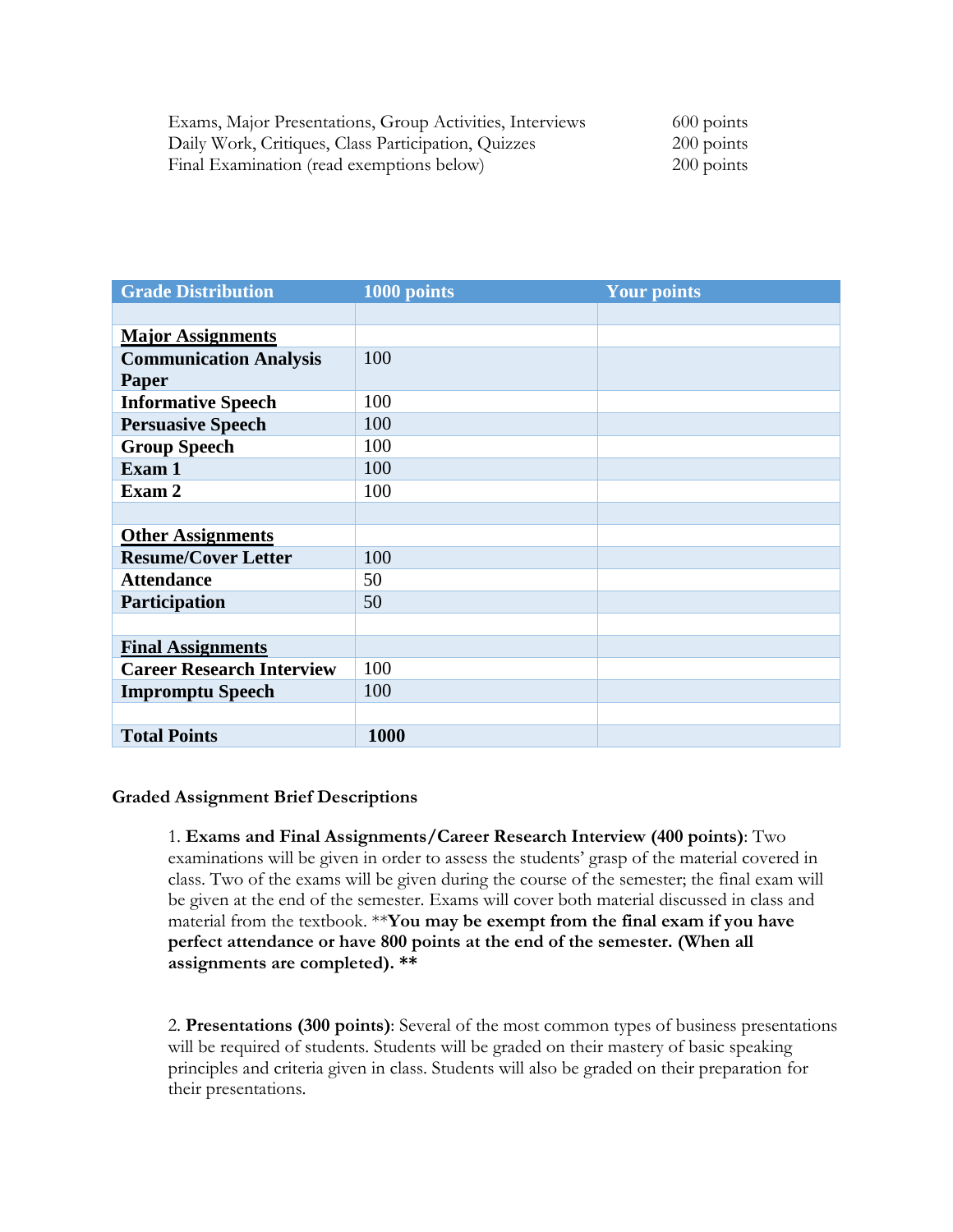| Exams, Major Presentations, Group Activities, Interviews | $600$ points |
|----------------------------------------------------------|--------------|
| Daily Work, Critiques, Class Participation, Quizzes      | $200$ points |
| Final Examination (read exemptions below)                | $200$ points |

| <b>Grade Distribution</b>        | 1000 points | <b>Your points</b> |
|----------------------------------|-------------|--------------------|
|                                  |             |                    |
| <b>Major Assignments</b>         |             |                    |
| <b>Communication Analysis</b>    | 100         |                    |
| Paper                            |             |                    |
| <b>Informative Speech</b>        | 100         |                    |
| <b>Persuasive Speech</b>         | 100         |                    |
| <b>Group Speech</b>              | 100         |                    |
| Exam 1                           | 100         |                    |
| Exam 2                           | 100         |                    |
|                                  |             |                    |
| <b>Other Assignments</b>         |             |                    |
| <b>Resume/Cover Letter</b>       | 100         |                    |
| <b>Attendance</b>                | 50          |                    |
| Participation                    | 50          |                    |
|                                  |             |                    |
| <b>Final Assignments</b>         |             |                    |
| <b>Career Research Interview</b> | 100         |                    |
| <b>Impromptu Speech</b>          | 100         |                    |
|                                  |             |                    |
| <b>Total Points</b>              | 1000        |                    |

#### **Graded Assignment Brief Descriptions**

1. **Exams and Final Assignments/Career Research Interview (400 points)**: Two examinations will be given in order to assess the students' grasp of the material covered in class. Two of the exams will be given during the course of the semester; the final exam will be given at the end of the semester. Exams will cover both material discussed in class and material from the textbook. \*\***You may be exempt from the final exam if you have perfect attendance or have 800 points at the end of the semester. (When all assignments are completed). \*\***

2. **Presentations (300 points)**: Several of the most common types of business presentations will be required of students. Students will be graded on their mastery of basic speaking principles and criteria given in class. Students will also be graded on their preparation for their presentations.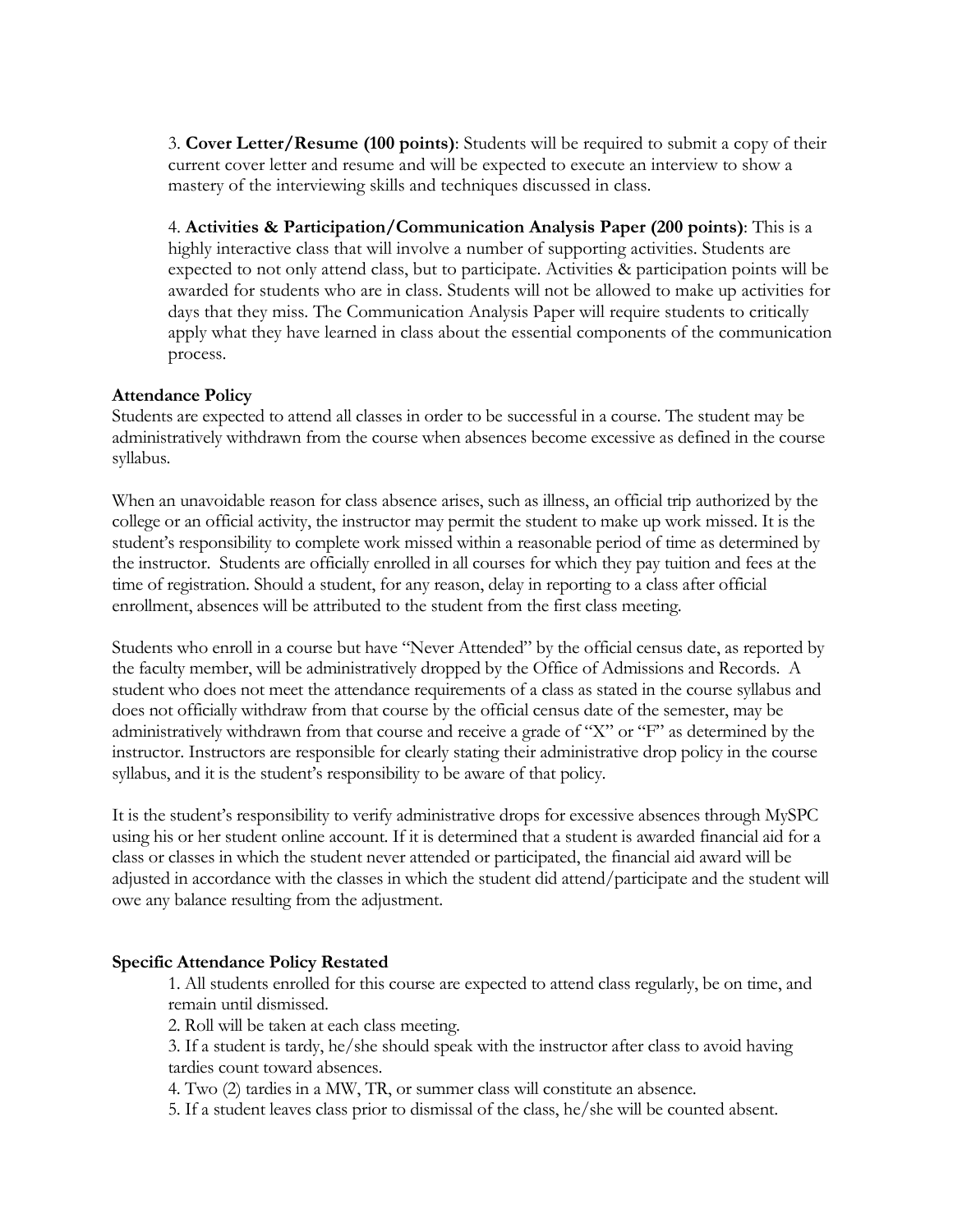3. **Cover Letter/Resume (100 points)**: Students will be required to submit a copy of their current cover letter and resume and will be expected to execute an interview to show a mastery of the interviewing skills and techniques discussed in class.

4. **Activities & Participation/Communication Analysis Paper (200 points)**: This is a highly interactive class that will involve a number of supporting activities. Students are expected to not only attend class, but to participate. Activities & participation points will be awarded for students who are in class. Students will not be allowed to make up activities for days that they miss. The Communication Analysis Paper will require students to critically apply what they have learned in class about the essential components of the communication process.

#### **Attendance Policy**

Students are expected to attend all classes in order to be successful in a course. The student may be administratively withdrawn from the course when absences become excessive as defined in the course syllabus.

When an unavoidable reason for class absence arises, such as illness, an official trip authorized by the college or an official activity, the instructor may permit the student to make up work missed. It is the student's responsibility to complete work missed within a reasonable period of time as determined by the instructor. Students are officially enrolled in all courses for which they pay tuition and fees at the time of registration. Should a student, for any reason, delay in reporting to a class after official enrollment, absences will be attributed to the student from the first class meeting.

Students who enroll in a course but have "Never Attended" by the official census date, as reported by the faculty member, will be administratively dropped by the Office of Admissions and Records. A student who does not meet the attendance requirements of a class as stated in the course syllabus and does not officially withdraw from that course by the official census date of the semester, may be administratively withdrawn from that course and receive a grade of "X" or "F" as determined by the instructor. Instructors are responsible for clearly stating their administrative drop policy in the course syllabus, and it is the student's responsibility to be aware of that policy.

It is the student's responsibility to verify administrative drops for excessive absences through MySPC using his or her student online account. If it is determined that a student is awarded financial aid for a class or classes in which the student never attended or participated, the financial aid award will be adjusted in accordance with the classes in which the student did attend/participate and the student will owe any balance resulting from the adjustment.

## **Specific Attendance Policy Restated**

1. All students enrolled for this course are expected to attend class regularly, be on time, and remain until dismissed.

2. Roll will be taken at each class meeting.

3. If a student is tardy, he/she should speak with the instructor after class to avoid having tardies count toward absences.

4. Two (2) tardies in a MW, TR, or summer class will constitute an absence.

5. If a student leaves class prior to dismissal of the class, he/she will be counted absent.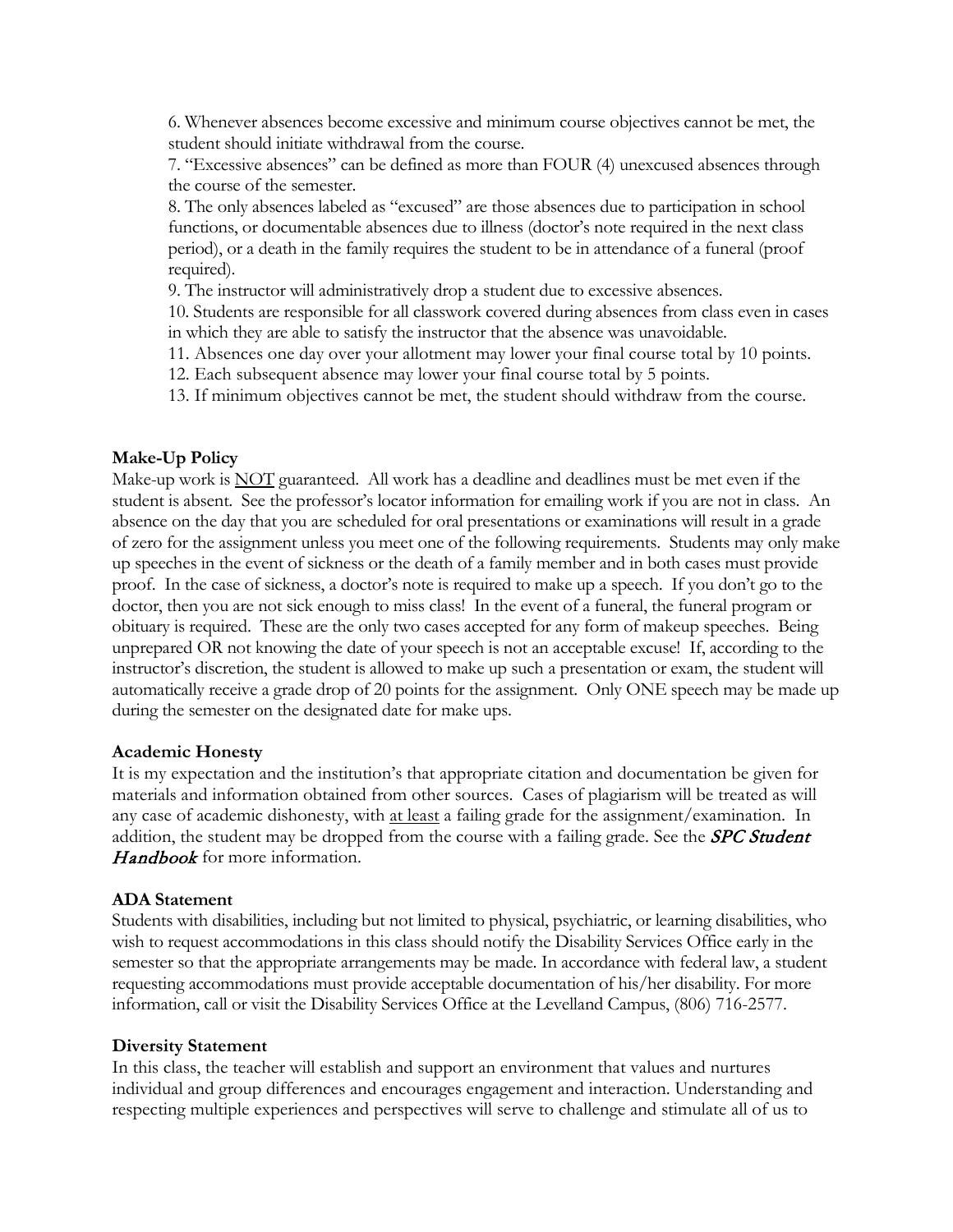6. Whenever absences become excessive and minimum course objectives cannot be met, the student should initiate withdrawal from the course.

7. "Excessive absences" can be defined as more than FOUR (4) unexcused absences through the course of the semester.

8. The only absences labeled as "excused" are those absences due to participation in school functions, or documentable absences due to illness (doctor's note required in the next class period), or a death in the family requires the student to be in attendance of a funeral (proof required).

9. The instructor will administratively drop a student due to excessive absences.

10. Students are responsible for all classwork covered during absences from class even in cases in which they are able to satisfy the instructor that the absence was unavoidable.

11. Absences one day over your allotment may lower your final course total by 10 points.

12. Each subsequent absence may lower your final course total by 5 points.

13. If minimum objectives cannot be met, the student should withdraw from the course.

#### **Make-Up Policy**

Make-up work is NOT guaranteed. All work has a deadline and deadlines must be met even if the student is absent. See the professor's locator information for emailing work if you are not in class. An absence on the day that you are scheduled for oral presentations or examinations will result in a grade of zero for the assignment unless you meet one of the following requirements. Students may only make up speeches in the event of sickness or the death of a family member and in both cases must provide proof. In the case of sickness, a doctor's note is required to make up a speech. If you don't go to the doctor, then you are not sick enough to miss class! In the event of a funeral, the funeral program or obituary is required. These are the only two cases accepted for any form of makeup speeches. Being unprepared OR not knowing the date of your speech is not an acceptable excuse! If, according to the instructor's discretion, the student is allowed to make up such a presentation or exam, the student will automatically receive a grade drop of 20 points for the assignment. Only ONE speech may be made up during the semester on the designated date for make ups.

#### **Academic Honesty**

It is my expectation and the institution's that appropriate citation and documentation be given for materials and information obtained from other sources. Cases of plagiarism will be treated as will any case of academic dishonesty, with at least a failing grade for the assignment/examination. In addition, the student may be dropped from the course with a failing grade. See the **SPC Student** Handbook for more information.

## **ADA Statement**

Students with disabilities, including but not limited to physical, psychiatric, or learning disabilities, who wish to request accommodations in this class should notify the Disability Services Office early in the semester so that the appropriate arrangements may be made. In accordance with federal law, a student requesting accommodations must provide acceptable documentation of his/her disability. For more information, call or visit the Disability Services Office at the Levelland Campus, (806) 716-2577.

#### **Diversity Statement**

In this class, the teacher will establish and support an environment that values and nurtures individual and group differences and encourages engagement and interaction. Understanding and respecting multiple experiences and perspectives will serve to challenge and stimulate all of us to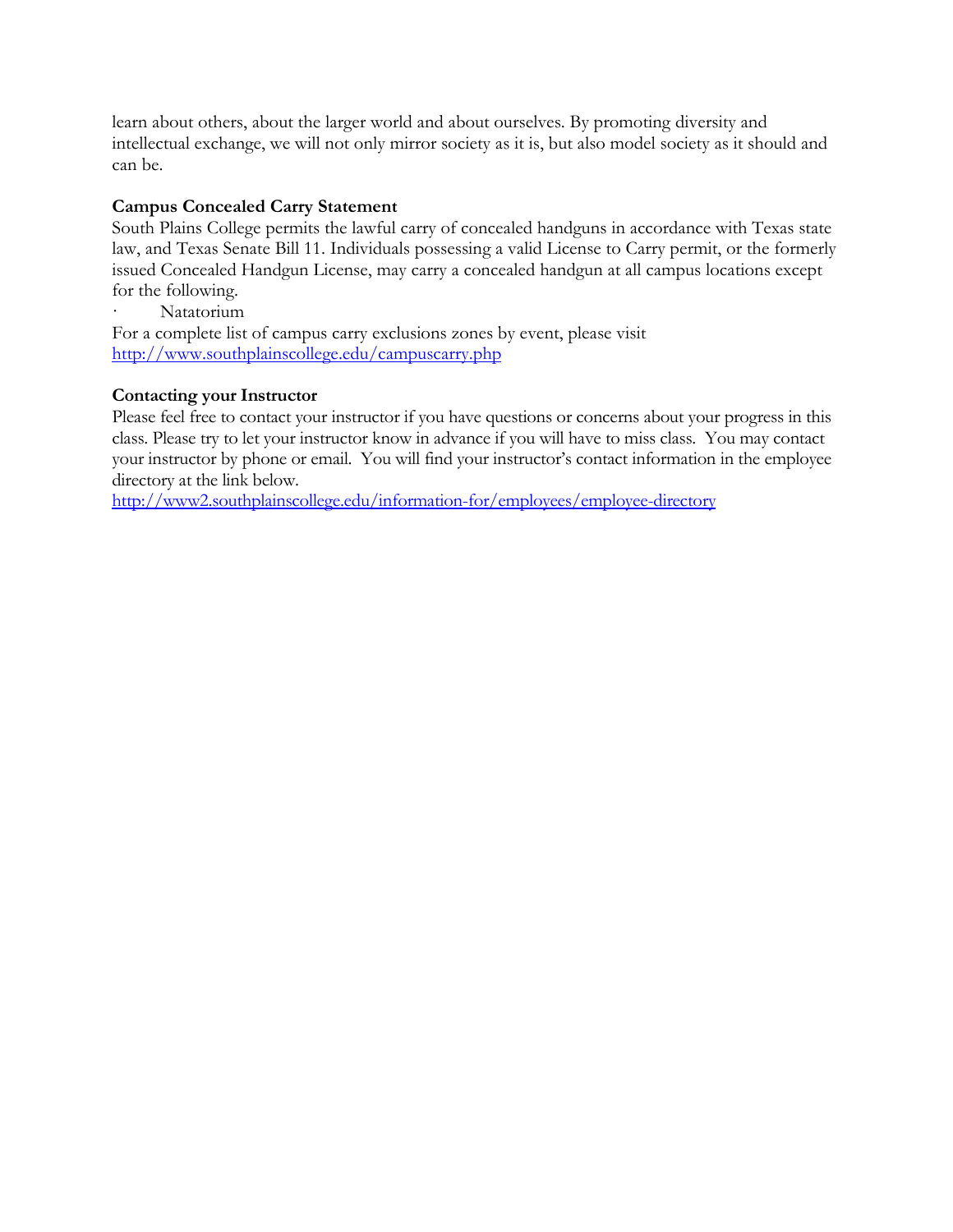learn about others, about the larger world and about ourselves. By promoting diversity and intellectual exchange, we will not only mirror society as it is, but also model society as it should and can be.

## **Campus Concealed Carry Statement**

South Plains College permits the lawful carry of concealed handguns in accordance with Texas state law, and Texas Senate Bill 11. Individuals possessing a valid License to Carry permit, or the formerly issued Concealed Handgun License, may carry a concealed handgun at all campus locations except for the following.

Natatorium

For a complete list of campus carry exclusions zones by event, please visit <http://www.southplainscollege.edu/campuscarry.php>

## **Contacting your Instructor**

Please feel free to contact your instructor if you have questions or concerns about your progress in this class. Please try to let your instructor know in advance if you will have to miss class. You may contact your instructor by phone or email. You will find your instructor's contact information in the employee directory at the link below.

<http://www2.southplainscollege.edu/information-for/employees/employee-directory>